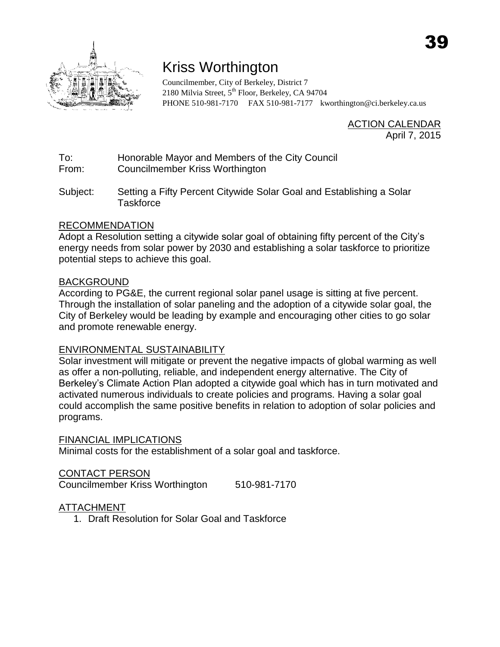

# Kriss Worthington

Councilmember, City of Berkeley, District 7 2180 Milvia Street, 5<sup>th</sup> Floor, Berkeley, CA 94704 PHONE 510-981-7170 FAX 510-981-7177 [kworthington@ci.berkeley.ca.us](mailto:kworthington@ci.berkeley.ca.us)

> **ACTION CALENDAR** April 7, 2015

To: Honorable Mayor and Members of the City Council

From: Councilmember Kriss Worthington

Subject: Setting a Fifty Percent Citywide Solar Goal and Establishing a Solar **Taskforce** 

## RECOMMENDATION

Adopt a Resolution setting a citywide solar goal of obtaining fifty percent of the City's energy needs from solar power by 2030 and establishing a solar taskforce to prioritize potential steps to achieve this goal.

## BACKGROUND

According to PG&E, the current regional solar panel usage is sitting at five percent. Through the installation of solar paneling and the adoption of a citywide solar goal, the City of Berkeley would be leading by example and encouraging other cities to go solar and promote renewable energy.

## ENVIRONMENTAL SUSTAINABILITY

Solar investment will mitigate or prevent the negative impacts of global warming as well as offer a non-polluting, reliable, and independent energy alternative. The City of Berkeley's Climate Action Plan adopted a citywide goal which has in turn motivated and activated numerous individuals to create policies and programs. Having a solar goal could accomplish the same positive benefits in relation to adoption of solar policies and programs.

### FINANCIAL IMPLICATIONS

Minimal costs for the establishment of a solar goal and taskforce.

## CONTACT PERSON

Councilmember Kriss Worthington 510-981-7170

## ATTACHMENT

1. Draft Resolution for Solar Goal and Taskforce